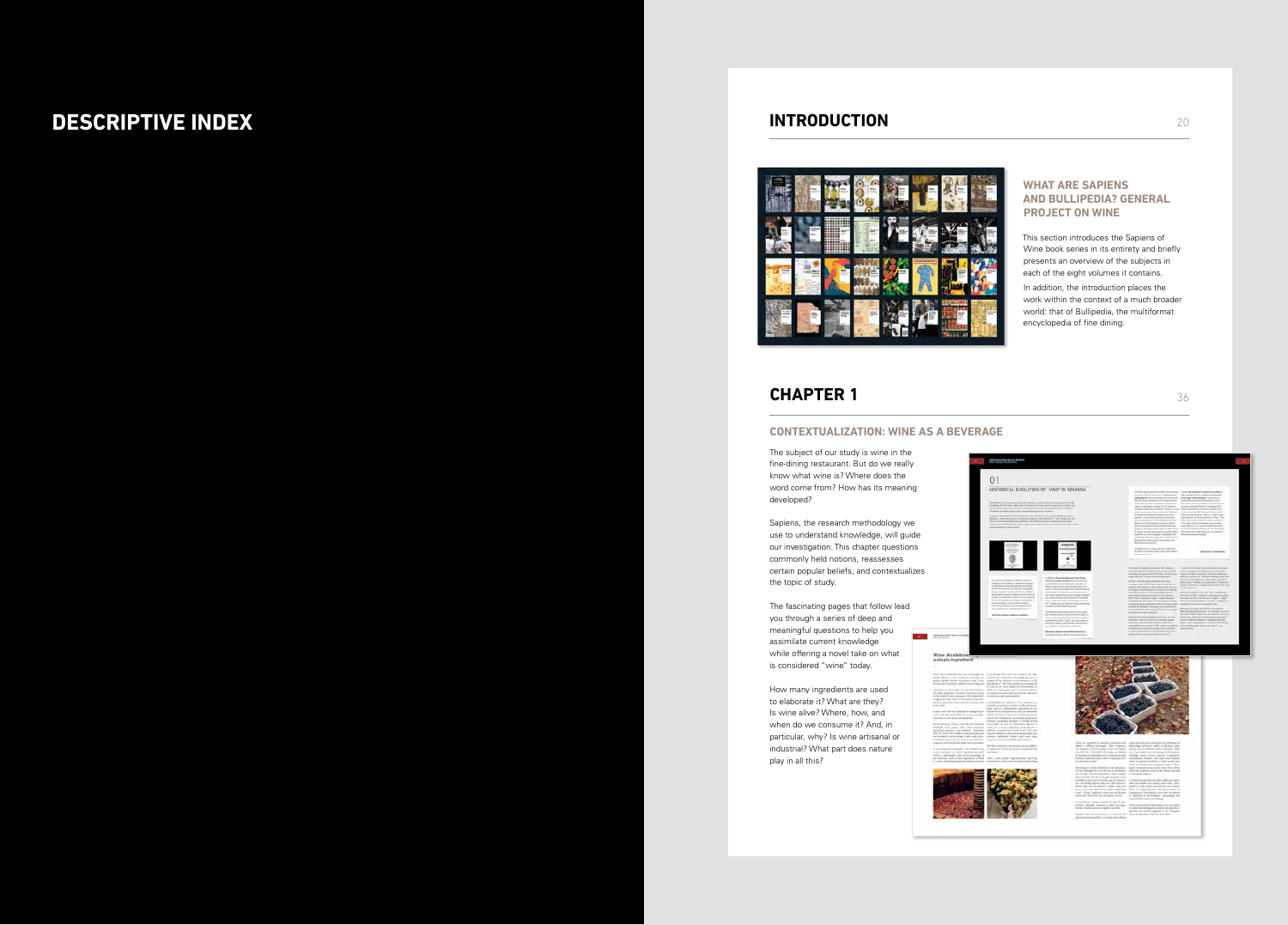### **WHAT ARE SAPIENS AND BULLIPEDIA? GENERAL PROJECT ON WINE**

This section introduces the Sapiens of Wine book series in its entirety and briefly presents an overview of the subjects in each of the eight volumes it contains.

In addition, the introduction places the work within the context of a much broader world: that of Bullipedia, the multiformat encyclopedia of fine dining.



# **DESCRIPTIVE INDEX INTRODUCTION**



## **CHAPTER 1**

### **CONTEXTUALIZATION: WINE AS A BEVERAGE**

The subject of our study is wine in the fine-dining restaurant. But do we really know what wine is? Where does the word come from? How has its meaning developed?

Sapiens, the research methodology we use to understand knowledge, will guide our investigation. This chapter questions commonly held notions*,* reassesses certain popular beliefs, and contextualizes the topic of study.

The fascinating pages that follow lead you through a series of deep and meaningful questions to help you assimilate current knowledge while offering a novel take on what is considered "wine" today.

How many ingredients are used to elaborate it? What are they? Is wine alive? Where, how, and when do we consume it? And, in particular, why? Is wine artisanal or industrial? What part does nature play in all this?

36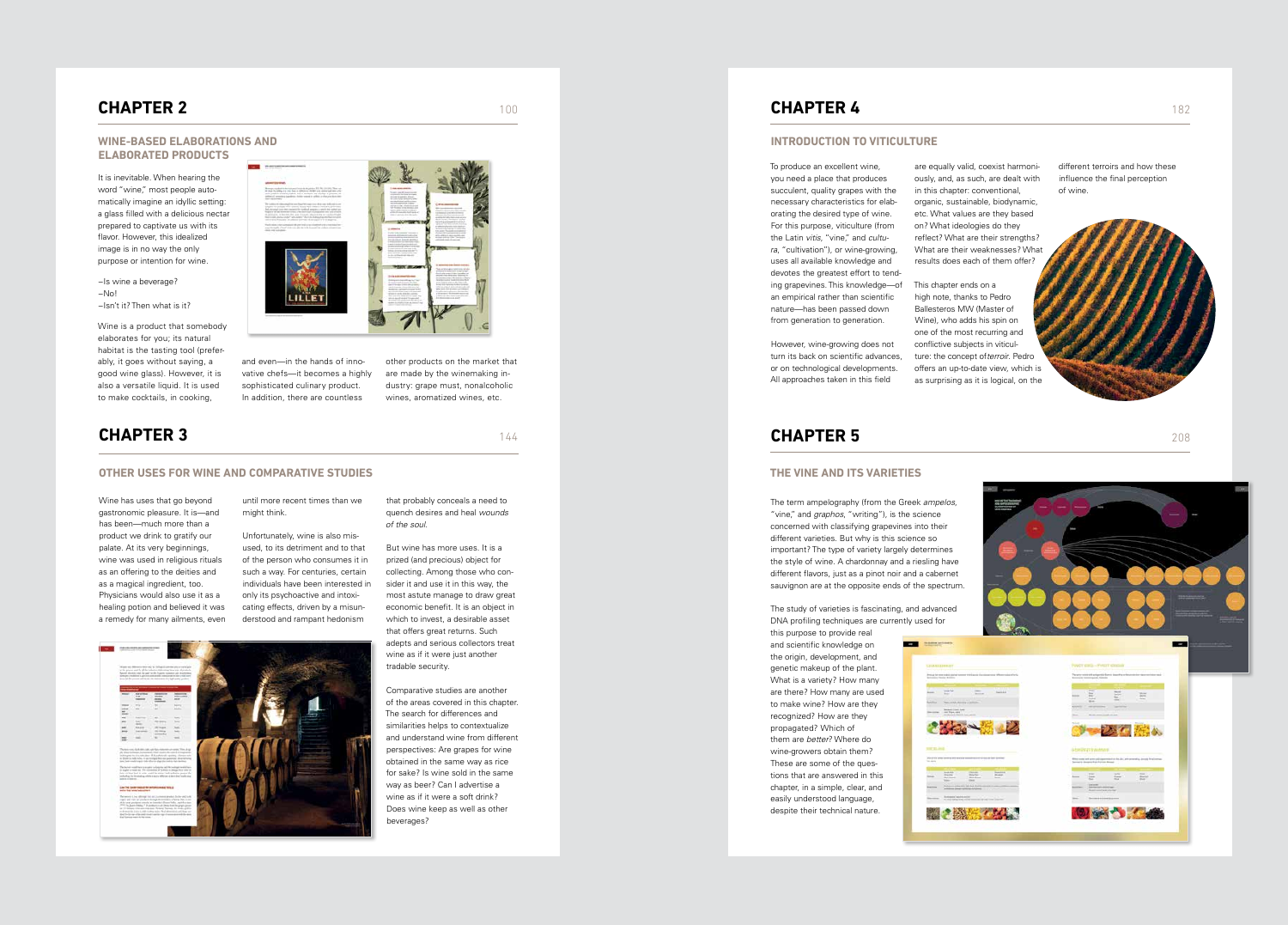Wine has uses that go beyond gastronomic pleasure. It is—and has been—much more than a product we drink to gratify our palate. At its very beginnings, wine was used in religious rituals as an offering to the deities and as a magical ingredient, too. Physicians would also use it as a healing potion and believed it was a remedy for many ailments, even until more recent times than we might think.

Unfortunately, wine is also misused, to its detriment and to that of the person who consumes it in such a way. For centuries, certain individuals have been interested in only its psychoactive and intoxicating effects, driven by a misunderstood and rampant hedonism

> Comparative studies are another of the areas covered in this chapter. The search for differences and similarities helps to contextualize and understand wine from different perspectives: Are grapes for wine obtained in the same way as rice for sake? Is wine sold in the same way as beer? Can I advertise a wine as if it were a soft drink? Does wine keep as well as other beverages?

that probably conceals a need to quench desires and heal *wounds of the soul.*

But wine has more uses. It is a prized (and precious) object for collecting. Among those who consider it and use it in this way, the most astute manage to draw great economic benefit. It is an object in which to invest, a desirable asset that offers great returns. Such adepts and serious collectors treat wine as if it were just another tradable security.



It is inevitable. When hearing the word "wine," most people automatically imagine an idyllic setting: a glass filled with a delicious nectar prepared to captivate us with its flavor. However, this idealized image is in no way the only purpose or intention for wine.

### **CHAPTER 3**

#### **OTHER USES FOR WINE AND COMPARATIVE STUDIES**

### **CHAPTER 2**

#### **WINE-BASED ELABORATIONS AND ELABORATED PRODUCTS**

This chapter ends on a high note, thanks to Pedro Ballesteros MW (Master of Wine), who adds his spin on one of the most recurring and conflictive subjects in viticulture: the concept of*terroir*. Pedro offers an up-to-date view, which is as surprising as it is logical, on the

−Is wine a beverage? −No! −Isn't it? Then what is it?

Wine is a product that somebody elaborates for you; its natural habitat is the tasting tool (preferably, it goes without saying, a good wine glass). However, it is also a versatile liquid. It is used to make cocktails, in cooking,



and even—in the hands of innovative chefs—it becomes a highly sophisticated culinary product. In addition, there are countless

other products on the market that are made by the winemaking industry: grape must, nonalcoholic wines, aromatized wines, etc.

100

144

To produce an excellent wine, you need a place that produces succulent, quality grapes with the necessary characteristics for elaborating the desired type of wine. For this purpose, viticulture (from the Latin *vitis*, "vine," and *cultura*, "cultivation"), or wine-growing, uses all available knowledge and devotes the greatest effort to tending grapevines. This knowledge—of an empirical rather than scientific nature—has been passed down from generation to generation.

However, wine-growing does not turn its back on scientific advances, or on technological developments. All approaches taken in this field

are equally valid, coexist harmoniously, and, as such, are dealt with in this chapter: conventional, organic, sustainable, biodynamic, etc. What values are they based on? What ideologies do they reflect? What are their strengths? What are their weaknesses? What results does each of them offer?

different terroirs and how these influence the final perception of wine.

## **CHAPTER 4**

#### **INTRODUCTION TO VITICULTURE**

### **CHAPTER 5**

### **THE VINE AND ITS VARIETIES**

The term ampelography (from the Greek *ampelos*, "vine," and *graphos*, "writing"), is the science concerned with classifying grapevines into their different varieties. But why is this science so important? The type of variety largely determines the style of wine. A chardonnay and a riesling have different flavors, just as a pinot noir and a cabernet sauvignon are at the opposite ends of the spectrum.

The study of varieties is fascinating, and advanced DNA profiling techniques are currently used for this purpose to provide real and scientific knowledge on **1979** the origin, development, and genetic makeup of the plant. Printed for streets What is a variety? How many are there? How many are used to make wine? How are they recognized? How are they propagated? Which of them are *better*? Where do wine-growers obtain them? These are some of the questions that are answered in this chapter, in a simple, clear, and easily understood language, despite their technical nature.

208

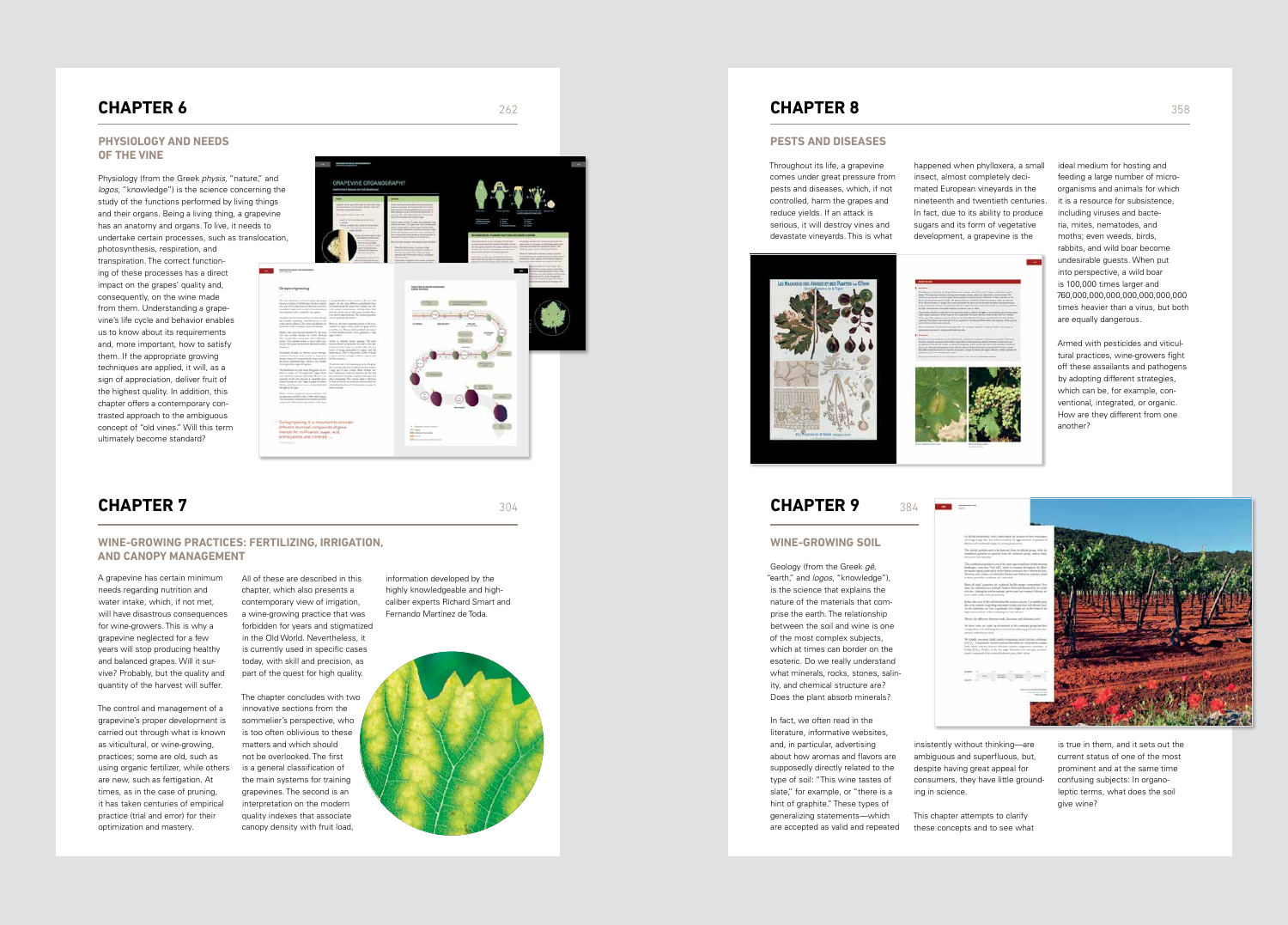A grapevine has certain minimum needs regarding nutrition and water intake, which, if not met, will have disastrous consequences for wine-growers. This is why a grapevine neglected for a few years will stop producing healthy and balanced grapes. Will it survive? Probably, but the quality and quantity of the harvest will suffer.

The control and management of a grapevine's proper development is carried out through what is known as viticultural, or wine-growing, practices; some are old, such as using organic fertilizer, while others are new, such as fertigation. At times, as in the case of pruning, it has taken centuries of empirical practice (trial and error) for their optimization and mastery.

All of these are described in this chapter, which also presents a contemporary view of irrigation, a wine-growing practice that was forbidden for years and stigmatized in the Old World. Nevertheless, it is currently used in specific cases today, with skill and precision, as part of the quest for high quality.

The chapter concludes with two innovative sections from the sommelier's perspective, who is too often oblivious to these matters and which should not be overlooked. The first is a general classification of the main systems for training grapevines. The second is an interpretation on the modern quality indexes that associate canopy density with fruit load,

information developed by the highly knowledgeable and highcaliber experts Richard Smart and Fernando Martínez de Toda.

### **CHAPTER 7**

#### **WINE-GROWING PRACTICES: FERTILIZING, IRRIGATION, AND CANOPY MANAGEMENT**

m.

### **CHAPTER 6**

#### **PHYSIOLOGY AND NEEDS OF THE VINE**

Physiology (from the Greek *physis*, "nature," ar *logos*, "knowledge") is the science concerning study of the functions performed by living thing and their organs. Being a living thing, a grapevin has an anatomy and organs. To live, it needs to undertake certain processes, such as transloca

photosynthesis, respiration, and transpiration. The correct functioning of these processes has a direct impact on the grapes' quality and, consequently, on the wine made from them. Understanding a grapevine's life cycle and behavior enables us to know about its requirements and, more important, how to satisfy them. If the appropriate growing techniques are applied, it will, as a sign of appreciation, deliver fruit of the highest quality. In addition, this chapter offers a contemporary contrasted approach to the ambiguous concept of "old vines." Will this term ultimately become standard?

| าด่<br>∣ the                                                                                                                                                                                                                                                                                                                                                                                                                          | GRAPEVINE ORGANOGRAPHY<br><b>PARTS THAT NEWER DWING SAVINGER</b>                                                                                                                                                                                                                                                                                                                                                                                                                                                                                                                                                                                                                                                                                                                                                                                                                                                                                                                                                                                                                                                                                                                                                                                                                                                                                                                                                                                                                                                                                                                                                                                                                                                                                                                                                                                                                                                                                                                                                                                                                                                               |                                                                                                                             |                                                                                                                                                                              |                                                                                                                                                                                                                             |
|---------------------------------------------------------------------------------------------------------------------------------------------------------------------------------------------------------------------------------------------------------------------------------------------------------------------------------------------------------------------------------------------------------------------------------------|--------------------------------------------------------------------------------------------------------------------------------------------------------------------------------------------------------------------------------------------------------------------------------------------------------------------------------------------------------------------------------------------------------------------------------------------------------------------------------------------------------------------------------------------------------------------------------------------------------------------------------------------------------------------------------------------------------------------------------------------------------------------------------------------------------------------------------------------------------------------------------------------------------------------------------------------------------------------------------------------------------------------------------------------------------------------------------------------------------------------------------------------------------------------------------------------------------------------------------------------------------------------------------------------------------------------------------------------------------------------------------------------------------------------------------------------------------------------------------------------------------------------------------------------------------------------------------------------------------------------------------------------------------------------------------------------------------------------------------------------------------------------------------------------------------------------------------------------------------------------------------------------------------------------------------------------------------------------------------------------------------------------------------------------------------------------------------------------------------------------------------|-----------------------------------------------------------------------------------------------------------------------------|------------------------------------------------------------------------------------------------------------------------------------------------------------------------------|-----------------------------------------------------------------------------------------------------------------------------------------------------------------------------------------------------------------------------|
| gs<br>ne<br>ition,                                                                                                                                                                                                                                                                                                                                                                                                                    | all stored democrats making advanced that can-<br>a discussion and contact<br>and construction documents<br>$\cdots$<br>Fight of second lack telephone lanes seller<br>also think and into month about 18.<br>and Jones<br><b><i><u>Property</u></i></b>                                                                                                                                                                                                                                                                                                                                                                                                                                                                                                                                                                                                                                                                                                                                                                                                                                                                                                                                                                                                                                                                                                                                                                                                                                                                                                                                                                                                                                                                                                                                                                                                                                                                                                                                                                                                                                                                       | and if the particular is dependent and<br>change at all all address stated with                                             | 區 图<br><b>GENERAL</b><br>based classical served details advant-<br>grass masters. We want all three various<br>month and control and public security<br><b>Gregorie Grey</b> | as an actual for a second company of<br>dent was his forest and at his price and<br>many in political company floors for<br>width arrests and as the street business                                                        |
| <b>THE R. P. LEWIS CO., LANSING MICH.</b><br><b>American</b><br>Grape ripesing                                                                                                                                                                                                                                                                                                                                                        |                                                                                                                                                                                                                                                                                                                                                                                                                                                                                                                                                                                                                                                                                                                                                                                                                                                                                                                                                                                                                                                                                                                                                                                                                                                                                                                                                                                                                                                                                                                                                                                                                                                                                                                                                                                                                                                                                                                                                                                                                                                                                                                                | <b><i><u>ALLEY A STATE</u></i></b><br><b>DISATES OF JEAR CORPORAT</b><br><b><i>Indian Informer</i></b>                      | this scholar is a portrait dealers.<br>$\mathbf{r}$                                                                                                                          | They also discussed and determined the first and the<br>$\sim$<br>alika laintungi mas irra<br>to data approximative space or prime<br>LEASE AVE PACKERS<br><b>G.Franklin</b><br>and the state and the state of the state of |
| in twide inches deals have a fe-<br>Note an other stars extended, and a planetical<br><b>Including</b><br>the basis chairment ago under a vict family.<br>Suscess phone dealers and property<br>Division in pac-<br>\$5000 controls active set quint and look-140.<br>are located and the channel of the state of 1990s with the channel.<br>They are wanter completed of subscriptive auto step<br>minister and temperature time but | The most degenerate density of group observes in . In damage plensities as longitudes as they of a both<br>the transitions of all the state dealerships angel. In this time, all also a player for the<br>adalah legis diti saray di sadukatan larik-sinya sabelunga atat gisikal dari<br>the electric in this coupled ingrigants   . will just in the same of their graph systems. Bette<br>than pubmission stational The indiversimants<br>To grap motor answer from Models decayle - form to good of children in<br>plan and deplaces. The contrast plans but the end of the state impresses parents in the acut-<br>Builty was not exceed analyzely we con- in blue, books must yier gainers a high.<br>two risk creates decays are colors, africant coup colored<br>move. The carrier stark is with right class. Analysis in consists being causing. The spill, one of the first series and consists and the construction of the construction of the construction of the construction of the const<br>deliverent the grant set as its testic suit to a<br>The same decays or preventionally developed a significant to the prevention of the property of the result of the results of the control of the results of the results of the results of the results of the results of the resu<br>or here fund on and personal to experience. In phenomenological with the region and<br>the the contract distinguished by the contract that the contract.<br>Thread do until drifts speed a interface about<br>shots to brige thround to other orien fut probes<br>The decreases of a fit is the fit paper of each $\sim 1$<br>and $\mu$ fit is a fit in $\sim 1$ . And a set of the<br>set of the set of the set of the set of the set of the set of the<br>set of the set of the set of the set of the fit<br>comment or the cars. All work it converted areas. After completeds. This critical and is the bank.<br>ments during the state of graph finances. All what and send on production of the lot<br>Stiking and Denvise, it pains shown dealership collected by the following terminal stronger in<br>connect proget |                                                                                                                             | $\sim$                                                                                                                                                                       |                                                                                                                                                                                                                             |
| ambocyativa, and minerals                                                                                                                                                                                                                                                                                                                                                                                                             | - During ripening, it is important to consider<br>Il foreign for ebroogles is an entitled therein the<br>interest for virilization sugar acid.                                                                                                                                                                                                                                                                                                                                                                                                                                                                                                                                                                                                                                                                                                                                                                                                                                                                                                                                                                                                                                                                                                                                                                                                                                                                                                                                                                                                                                                                                                                                                                                                                                                                                                                                                                                                                                                                                                                                                                                 | 4 Supervisor colour<br><b>TIF MOV</b><br><b>Stati metapo del conte</b><br>and raise.<br>Alle frequencies as present a stand |                                                                                                                                                                              |                                                                                                                                                                                                                             |

262

304



### **CHAPTER 8**

#### **PESTS AND DISEASES**

Throughout its life, a grapevine comes under great pressure from pests and diseases, which, if not controlled, harm the grapes and reduce yields. If an attack is serious, it will destroy vines and devastate vineyards. This is what



happened when phylloxera, a small insect, almost completely decimated European vineyards in the nineteenth and twentieth centuries. In fact, due to its ability to produce sugars and its form of vegetative development, a grapevine is the



ideal medium for hosting and feeding a large number of microorganisms and animals for which it is a resource for subsistence, including viruses and bacteria, mites, nematodes, and moths; even weeds, birds, rabbits, and wild boar become undesirable guests. When put into perspective, a wild boar is 100,000 times larger and 760,000,000,000,000,000,000,000 times heavier than a virus, but both are equally dangerous.

Armed with pesticides and viticultural practices, wine-growers fight off these assailants and pathogens by adopting different strategies, which can be, for example, conventional, integrated, or organic. How are they different from one another?

### **CHAPTER 9**

#### **WINE-GROWING SOIL**

Geology (from the Greek *gê*, "earth," and *logos*, "knowledge"), is the science that explains the nature of the materials that comprise the earth. The relationship between the soil and wine is one of the most complex subjects, which at times can border on the esoteric. Do we really understand what minerals, rocks, stones, salinity, and chemical structure are? Does the plant absorb minerals?

In fact, we often read in the literature, informative websites, and, in particular, advertising about how aromas and flavors are supposedly directly related to the type of soil: "This wine tastes of slate," for example, or "there is a hint of graphite." These types of generalizing statements—which are accepted as valid and repeated

insistently without thinking—are ambiguous and superfluous, but, despite having great appeal for consumers, they have little grounding in science.

This chapter attempts to clarify these concepts and to see what

is true in them, and it sets out the current status of one of the most prominent and at the same time confusing subjects: In organoleptic terms, what does the soil give wine?

384

**STATE CONTRACT** 

 $\frac{1}{2}$  and  $\frac{1}{2}$  and  $\frac{1}{2}$  and  $\frac{1}{2}$  are  $\frac{1}{2}$  and  $\frac{1}{2}$  are  $\frac{1}{2}$  and  $\frac{1}{2}$  are  $\frac{1}{2}$  and  $\frac{1}{2}$  are  $\frac{1}{2}$  are  $\frac{1}{2}$  and  $\frac{1}{2}$  are  $\frac{1}{2}$  and  $\frac{1}{2}$  are  $\frac{1}{2}$  a